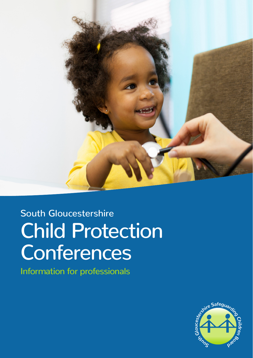

# South Gloucestershire Child Protection **Conferences**

Information for professionals

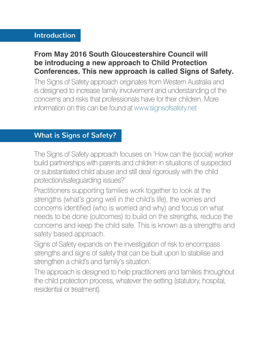#### **Introduction**

## **From May 2016 South Gloucestershire Council will be introducing a new approach to Child Protection Conferences. This new approach is called Signs of Safety.**

The Signs of Safety approach originates from Western Australia and is designed to increase family involvement and understanding of the concerns and risks that professionals have for their children. More information on this can be found at www.signsofsafety.net

# **What is Signs of Safety?**

The Signs of Safety approach focuses on 'How can the (social) worker build partnerships with parents and children in situations of suspected or substantiated child abuse and still deal rigorously with the child protection/safeguarding issues?'

Practitioners supporting families work together to look at the strengths (what's going well in the child's life), the worries and concerns identified (who is worried and why) and focus on what needs to be done (outcomes) to build on the strengths, reduce the concerns and keep the child safe. This is known as a strengths and safety based approach.

Signs of Safety expands on the investigation of risk to encompass strengths and signs of safety that can be built upon to stabilise and strengthen a child's and family's situation.

The approach is designed to help practitioners and families throughout the child protection process, whatever the setting (statutory, hospital, residential or treatment).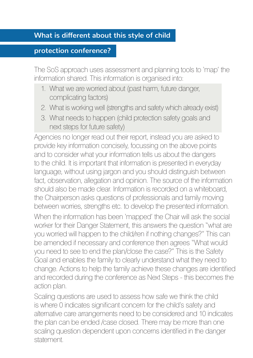## **What is different about this style of child**

#### **protection conference?**

The SoS approach uses assessment and planning tools to 'map' the information shared. This information is organised into:

- 1. What we are worried about (past harm, future danger, complicating factors)
- 2. What is working well (strengths and safety which already exist)
- 3. What needs to happen (child protection safety goals and next steps for future safety)

Agencies no longer read out their report, instead you are asked to provide key information concisely, focussing on the above points and to consider what your information tells us about the dangers to the child. It is important that information is presented in everyday language, without using jargon and you should distinguish between fact, observation, allegation and opinion. The source of the information should also be made clear. Information is recorded on a whiteboard, the Chairperson asks questions of professionals and family moving between worries, strengths etc. to develop the presented information. When the information has been 'mapped' the Chair will ask the social worker for their Danger Statement, this answers the question "what are you worried will happen to the child/ren if nothing changes?" This can be amended if necessary and conference then agrees "What would you need to see to end the plan/close the case?" This is the Safety Goal and enables the family to clearly understand what they need to change. Actions to help the family achieve these changes are identified and recorded during the conference as Next Steps - this becomes the action plan.

Scaling questions are used to assess how safe we think the child is where 0 indicates significant concern for the child's safety and alternative care arrangements need to be considered and 10 indicates the plan can be ended /case closed. There may be more than one scaling question dependent upon concerns identified in the danger statement.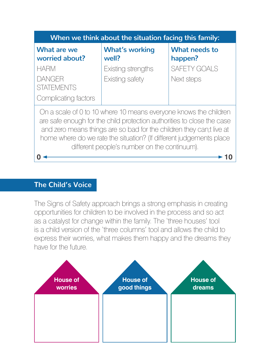

### **The Child's Voice**

The Signs of Safety approach brings a strong emphasis in creating opportunities for children to be involved in the process and so act as a catalyst for change within the family. The 'three houses' tool is a child version of the 'three columns' tool and allows the child to express their worries, what makes them happy and the dreams they have for the future.

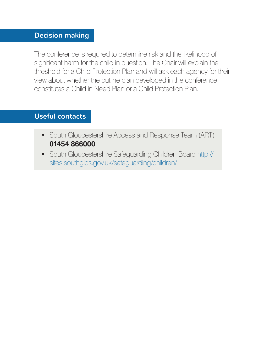# **Decision making**

The conference is required to determine risk and the likelihood of significant harm for the child in question. The Chair will explain the threshold for a Child Protection Plan and will ask each agency for their view about whether the outline plan developed in the conference constitutes a Child in Need Plan or a Child Protection Plan.

#### **Useful contacts**

- South Gloucestershire Access and Response Team (ART) **01454 866000**
- South Gloucestershire Safeguarding Children Board http:// sites.southglos.gov.uk/safeguarding/children/